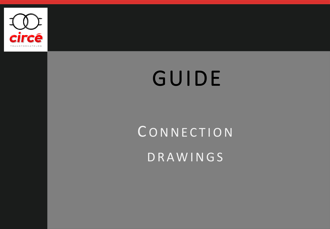

# GUIDE

# **CONNECTION**

D R A W I N G S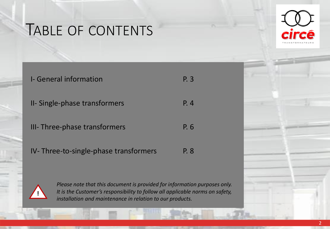## TABLE OF CONTENTS



| <b>I</b> -General information         | P. 3 |
|---------------------------------------|------|
| II- Single-phase transformers         | P. 4 |
| III- Three-phase transformers         | P. 6 |
| IV-Three-to-single-phase transformers | P. 8 |



*Please note that this document is provided for information purposes only. It is the Customer's responsibility to follow all applicable norms on safety, installation and maintenance in relation to our products.*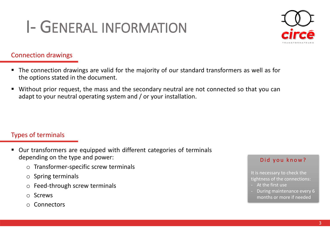## I- GENERAL INFORMATION

#### Connection drawings

- The connection drawings are valid for the majority of our standard transformers as well as for the options stated in the document.
- Without prior request, the mass and the secondary neutral are not connected so that you can adapt to your neutral operating system and / or your installation.

#### Types of terminals

- Our transformers are equipped with different categories of terminals depending on the type and power:
	- o Transformer-specific screw terminals
	- o Spring terminals
	- o Feed-through screw terminals
	- o Screws
	- o Connectors

#### Did you know?

It is necessary to check the tightness of the connections:

- At the first use
- During maintenance every 6 months or more if needed

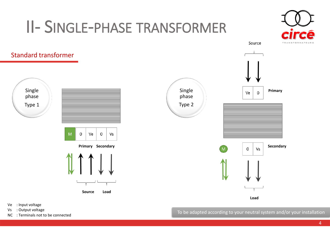## II- SINGLE-PHASE TRANSFORMER





- Ve : Input voltage
- Vs : Output voltage
- 

NC : Output voltage<br>NC : Terminals not to be connected  $\blacksquare$  To be adapted according to your neutral system and/or your installation

Source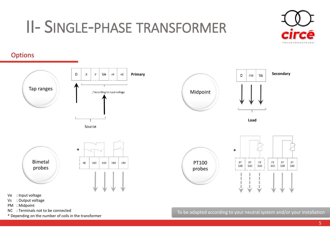### II- SINGLE-PHASE TRANSFORMER



#### **Options**



- Ve : Input voltage
- Vs : Output voltage
- PM : Midpoint
- NC : Terminals not to be connected
- \* Depending on the number of coils in the transformer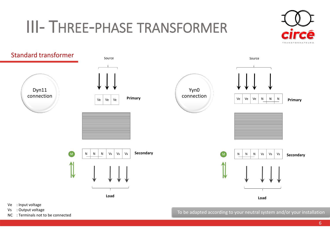#### III- THREE-PHASE TRANSFORMER





- Ve : Input voltage
- Vs : Output voltage
- NC : Terminals not to be connected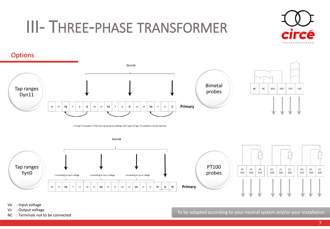### III- THREE-PHASE TRANSFORMER









Ve : Input voltage

Vs : Output voltage

NC : Terminals not to be connected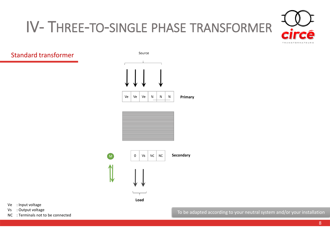# IV- THREE-TO-SINGLE PHASE TRANSFORMER



#### Standard transformer







- Ve : Input voltage
- Vs : Output voltage
- NC : Terminals not to be connected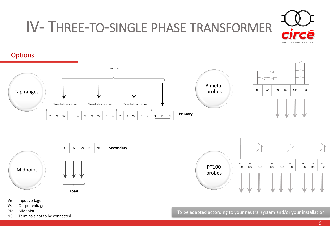

#### IV- THREE-TO-SINGLE PHASE TRANSFORMER



- Vs : Output voltage
- 
- PM : Midpoint
- NC : Terminals not to be connected